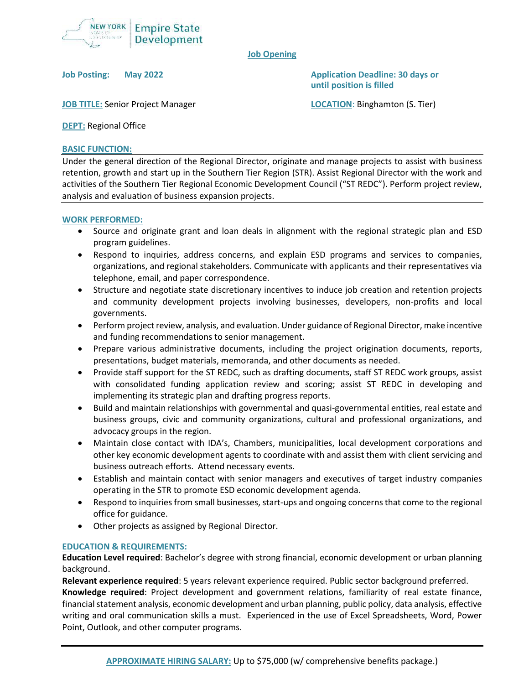

## **Job Opening**

**Job Posting: May 2022 Application Deadline: 30 days or until position is filled**

**JOB TITLE:** Senior Project Manager **LOCATION**: Binghamton (S. Tier)

**DEPT:** Regional Office

## **BASIC FUNCTION:**

Under the general direction of the Regional Director, originate and manage projects to assist with business retention, growth and start up in the Southern Tier Region (STR). Assist Regional Director with the work and activities of the Southern Tier Regional Economic Development Council ("ST REDC"). Perform project review, analysis and evaluation of business expansion projects.

#### **WORK PERFORMED:**

- Source and originate grant and loan deals in alignment with the regional strategic plan and ESD program guidelines.
- Respond to inquiries, address concerns, and explain ESD programs and services to companies, organizations, and regional stakeholders. Communicate with applicants and their representatives via telephone, email, and paper correspondence.
- Structure and negotiate state discretionary incentives to induce job creation and retention projects and community development projects involving businesses, developers, non-profits and local governments.
- Perform project review, analysis, and evaluation. Under guidance of Regional Director, make incentive and funding recommendations to senior management.
- Prepare various administrative documents, including the project origination documents, reports, presentations, budget materials, memoranda, and other documents as needed.
- Provide staff support for the ST REDC, such as drafting documents, staff ST REDC work groups, assist with consolidated funding application review and scoring; assist ST REDC in developing and implementing its strategic plan and drafting progress reports.
- Build and maintain relationships with governmental and quasi-governmental entities, real estate and business groups, civic and community organizations, cultural and professional organizations, and advocacy groups in the region.
- Maintain close contact with IDA's, Chambers, municipalities, local development corporations and other key economic development agents to coordinate with and assist them with client servicing and business outreach efforts. Attend necessary events.
- Establish and maintain contact with senior managers and executives of target industry companies operating in the STR to promote ESD economic development agenda.
- Respond to inquiries from small businesses, start-ups and ongoing concerns that come to the regional office for guidance.
- Other projects as assigned by Regional Director.

# **EDUCATION & REQUIREMENTS:**

**Education Level required**: Bachelor's degree with strong financial, economic development or urban planning background.

**Relevant experience required**: 5 years relevant experience required. Public sector background preferred. **Knowledge required**: Project development and government relations, familiarity of real estate finance, financial statement analysis, economic development and urban planning, public policy, data analysis, effective writing and oral communication skills a must. Experienced in the use of Excel Spreadsheets, Word, Power Point, Outlook, and other computer programs.